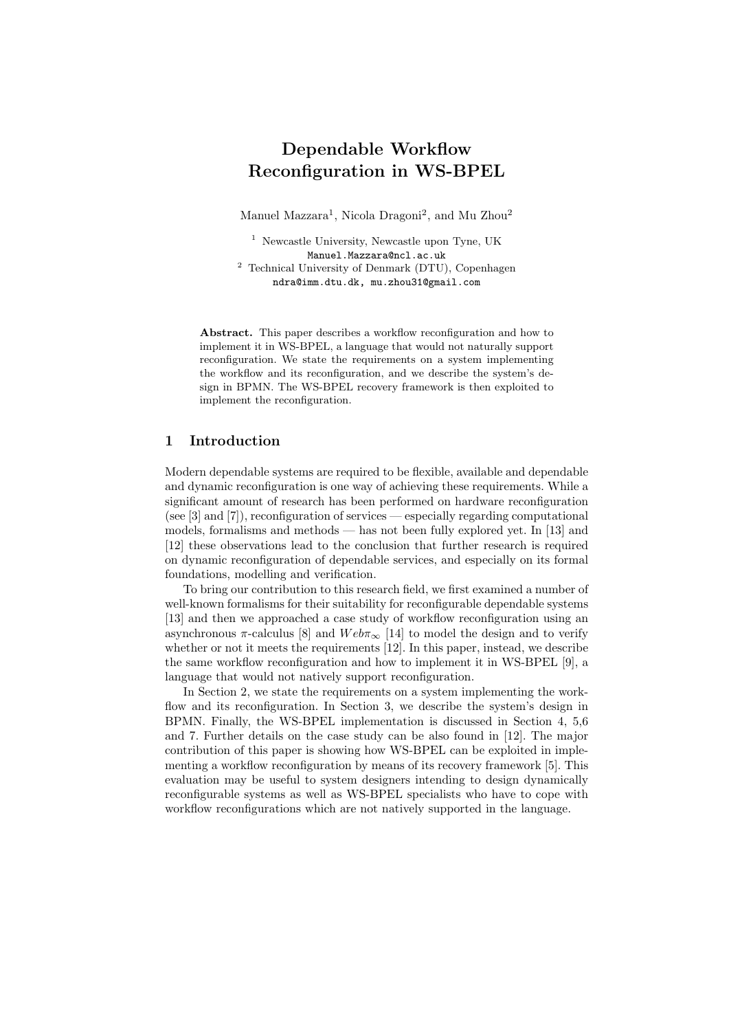# Dependable Workflow Reconfiguration in WS-BPEL

Manuel Mazzara<sup>1</sup>, Nicola Dragoni<sup>2</sup>, and Mu Zhou<sup>2</sup>

<sup>1</sup> Newcastle University, Newcastle upon Tyne, UK Manuel.Mazzara@ncl.ac.uk <sup>2</sup> Technical University of Denmark (DTU), Copenhagen ndra@imm.dtu.dk, mu.zhou31@gmail.com

Abstract. This paper describes a workflow reconfiguration and how to implement it in WS-BPEL, a language that would not naturally support reconfiguration. We state the requirements on a system implementing the workflow and its reconfiguration, and we describe the system's design in BPMN. The WS-BPEL recovery framework is then exploited to implement the reconfiguration.

#### 1 Introduction

Modern dependable systems are required to be flexible, available and dependable and dynamic reconfiguration is one way of achieving these requirements. While a significant amount of research has been performed on hardware reconfiguration (see [3] and [7]), reconfiguration of services — especially regarding computational models, formalisms and methods — has not been fully explored yet. In [13] and [12] these observations lead to the conclusion that further research is required on dynamic reconfiguration of dependable services, and especially on its formal foundations, modelling and verification.

To bring our contribution to this research field, we first examined a number of well-known formalisms for their suitability for reconfigurable dependable systems [13] and then we approached a case study of workflow reconfiguration using an asynchronous  $\pi$ -calculus [8] and  $Web\pi_{\infty}$  [14] to model the design and to verify whether or not it meets the requirements [12]. In this paper, instead, we describe the same workflow reconfiguration and how to implement it in WS-BPEL [9], a language that would not natively support reconfiguration.

In Section 2, we state the requirements on a system implementing the workflow and its reconfiguration. In Section 3, we describe the system's design in BPMN. Finally, the WS-BPEL implementation is discussed in Section 4, 5,6 and 7. Further details on the case study can be also found in [12]. The major contribution of this paper is showing how WS-BPEL can be exploited in implementing a workflow reconfiguration by means of its recovery framework [5]. This evaluation may be useful to system designers intending to design dynamically reconfigurable systems as well as WS-BPEL specialists who have to cope with workflow reconfigurations which are not natively supported in the language.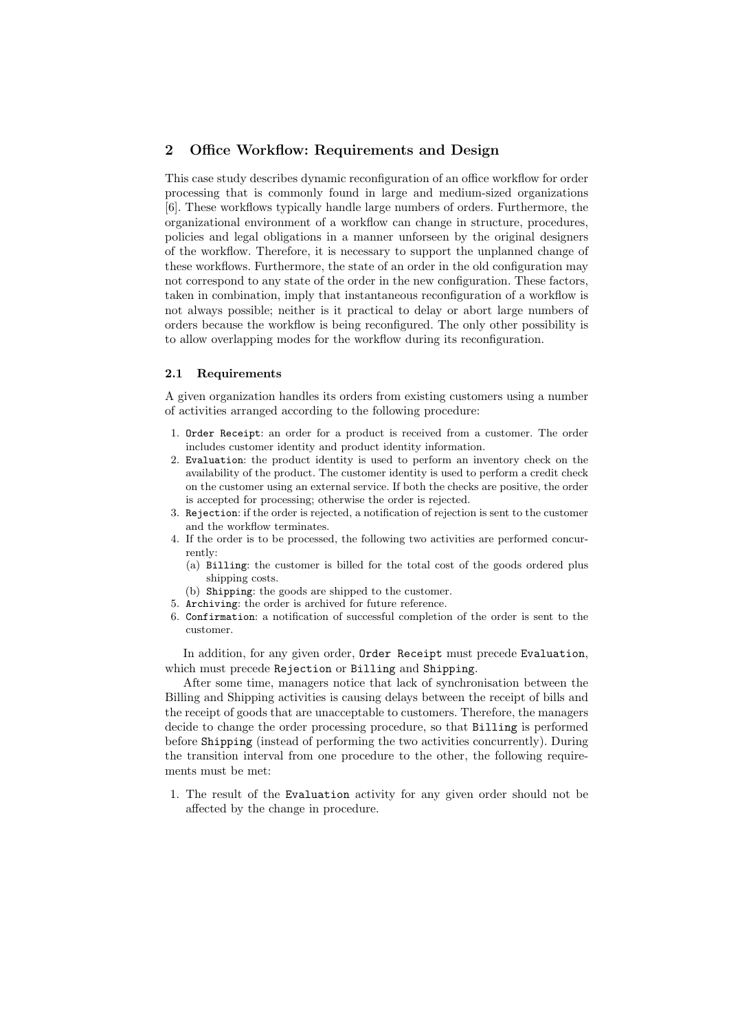# 2 Office Workflow: Requirements and Design

This case study describes dynamic reconfiguration of an office workflow for order processing that is commonly found in large and medium-sized organizations [6]. These workflows typically handle large numbers of orders. Furthermore, the organizational environment of a workflow can change in structure, procedures, policies and legal obligations in a manner unforseen by the original designers of the workflow. Therefore, it is necessary to support the unplanned change of these workflows. Furthermore, the state of an order in the old configuration may not correspond to any state of the order in the new configuration. These factors, taken in combination, imply that instantaneous reconfiguration of a workflow is not always possible; neither is it practical to delay or abort large numbers of orders because the workflow is being reconfigured. The only other possibility is to allow overlapping modes for the workflow during its reconfiguration.

#### 2.1 Requirements

A given organization handles its orders from existing customers using a number of activities arranged according to the following procedure:

- 1. Order Receipt: an order for a product is received from a customer. The order includes customer identity and product identity information.
- 2. Evaluation: the product identity is used to perform an inventory check on the availability of the product. The customer identity is used to perform a credit check on the customer using an external service. If both the checks are positive, the order is accepted for processing; otherwise the order is rejected.
- 3. Rejection: if the order is rejected, a notification of rejection is sent to the customer and the workflow terminates.
- 4. If the order is to be processed, the following two activities are performed concurrently:
	- (a) Billing: the customer is billed for the total cost of the goods ordered plus shipping costs.
	- (b) Shipping: the goods are shipped to the customer.
- 5. Archiving: the order is archived for future reference.
- 6. Confirmation: a notification of successful completion of the order is sent to the customer.

In addition, for any given order, Order Receipt must precede Evaluation, which must precede Rejection or Billing and Shipping.

After some time, managers notice that lack of synchronisation between the Billing and Shipping activities is causing delays between the receipt of bills and the receipt of goods that are unacceptable to customers. Therefore, the managers decide to change the order processing procedure, so that Billing is performed before Shipping (instead of performing the two activities concurrently). During the transition interval from one procedure to the other, the following requirements must be met:

1. The result of the Evaluation activity for any given order should not be affected by the change in procedure.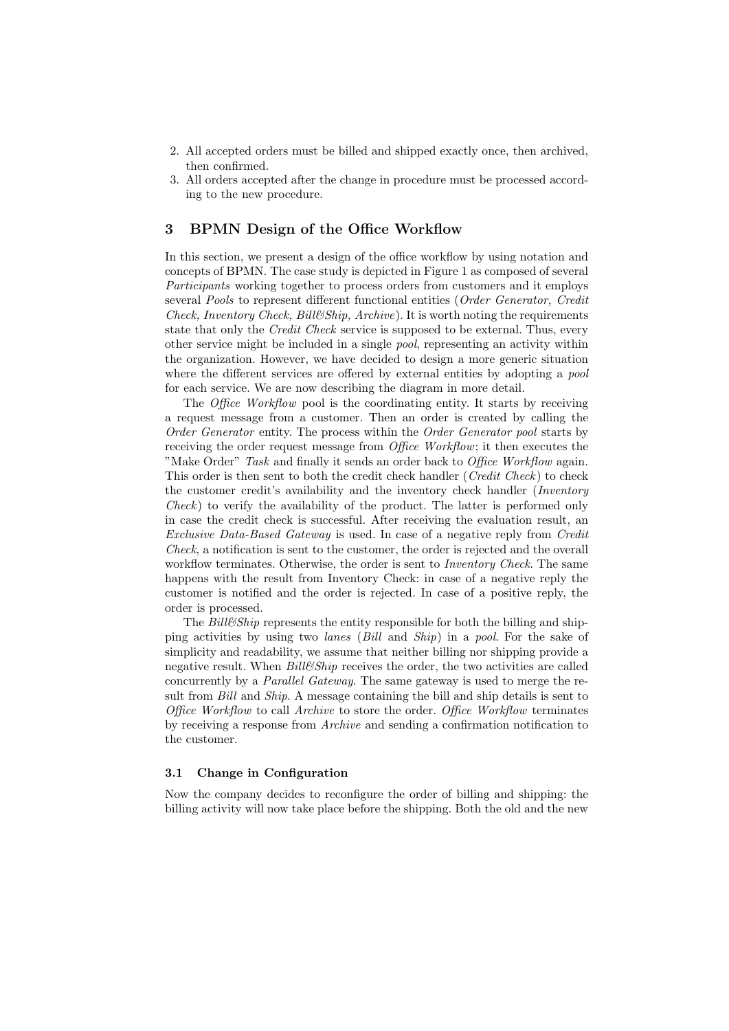- 2. All accepted orders must be billed and shipped exactly once, then archived, then confirmed.
- 3. All orders accepted after the change in procedure must be processed according to the new procedure.

#### 3 BPMN Design of the Office Workflow

In this section, we present a design of the office workflow by using notation and concepts of BPMN. The case study is depicted in Figure 1 as composed of several Participants working together to process orders from customers and it employs several Pools to represent different functional entities (Order Generator, Credit Check, Inventory Check, Bill&Ship, Archive). It is worth noting the requirements state that only the *Credit Check* service is supposed to be external. Thus, every other service might be included in a single pool, representing an activity within the organization. However, we have decided to design a more generic situation where the different services are offered by external entities by adopting a *pool* for each service. We are now describing the diagram in more detail.

The *Office Workflow* pool is the coordinating entity. It starts by receiving a request message from a customer. Then an order is created by calling the Order Generator entity. The process within the Order Generator pool starts by receiving the order request message from *Office Workflow*; it then executes the "Make Order" Task and finally it sends an order back to Office Workflow again. This order is then sent to both the credit check handler (Credit Check) to check the customer credit's availability and the inventory check handler (Inventory Check) to verify the availability of the product. The latter is performed only in case the credit check is successful. After receiving the evaluation result, an Exclusive Data-Based Gateway is used. In case of a negative reply from Credit Check, a notification is sent to the customer, the order is rejected and the overall workflow terminates. Otherwise, the order is sent to *Inventory Check*. The same happens with the result from Inventory Check: in case of a negative reply the customer is notified and the order is rejected. In case of a positive reply, the order is processed.

The  $Bill\mathscr{C}Ship$  represents the entity responsible for both the billing and shipping activities by using two lanes (Bill and Ship) in a pool. For the sake of simplicity and readability, we assume that neither billing nor shipping provide a negative result. When  $Bill\ell Ship$  receives the order, the two activities are called concurrently by a Parallel Gateway. The same gateway is used to merge the result from *Bill* and *Ship*. A message containing the bill and ship details is sent to Office Workflow to call Archive to store the order. Office Workflow terminates by receiving a response from Archive and sending a confirmation notification to the customer.

#### 3.1 Change in Configuration

Now the company decides to reconfigure the order of billing and shipping: the billing activity will now take place before the shipping. Both the old and the new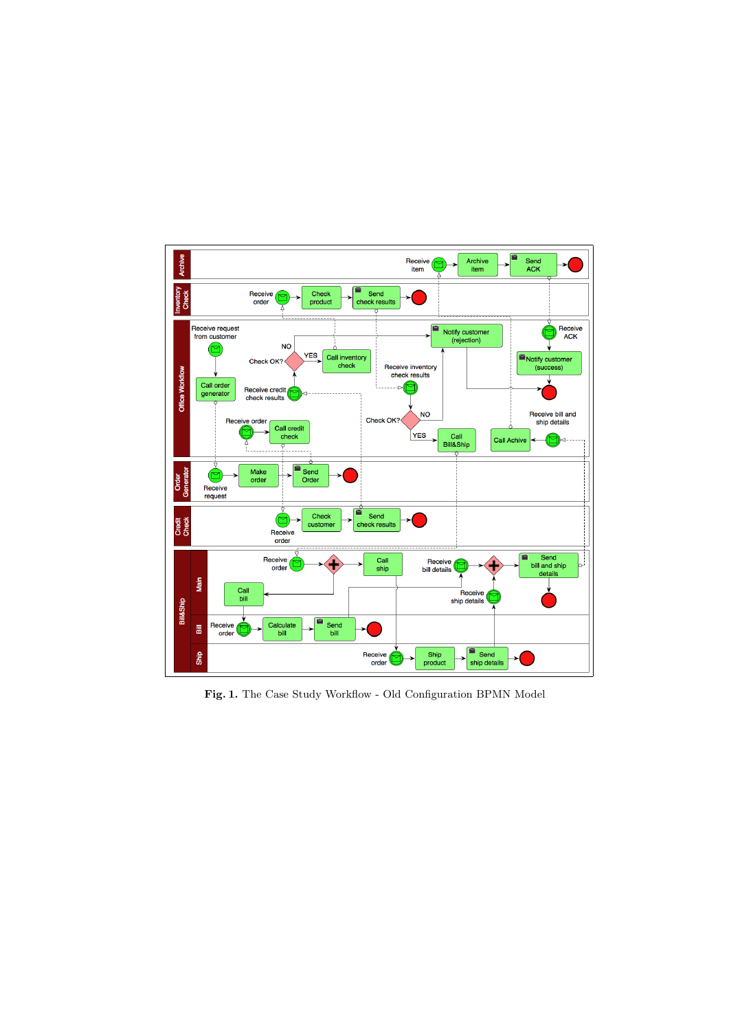

Fig. 1. The Case Study Workflow - Old Configuration BPMN Model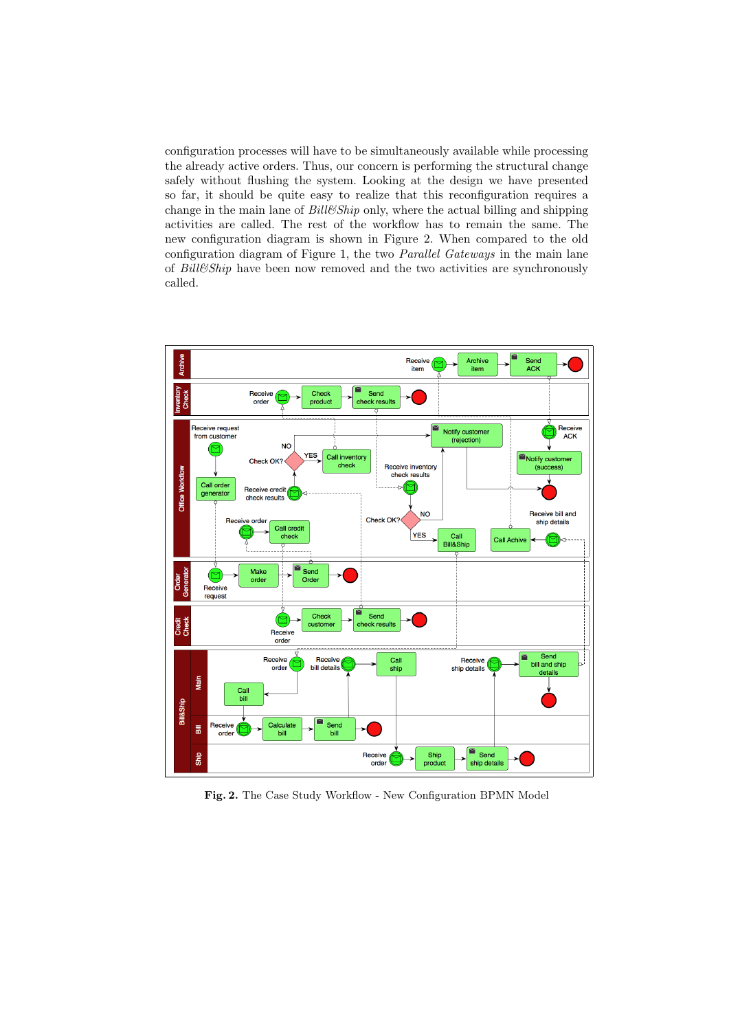configuration processes will have to be simultaneously available while processing the already active orders. Thus, our concern is performing the structural change safely without flushing the system. Looking at the design we have presented so far, it should be quite easy to realize that this reconfiguration requires a change in the main lane of  $Bill\mathscr{C}Ship$  only, where the actual billing and shipping activities are called. The rest of the workflow has to remain the same. The new configuration diagram is shown in Figure 2. When compared to the old configuration diagram of Figure 1, the two Parallel Gateways in the main lane of Bill&Ship have been now removed and the two activities are synchronously called.



Fig. 2. The Case Study Workflow - New Configuration BPMN Model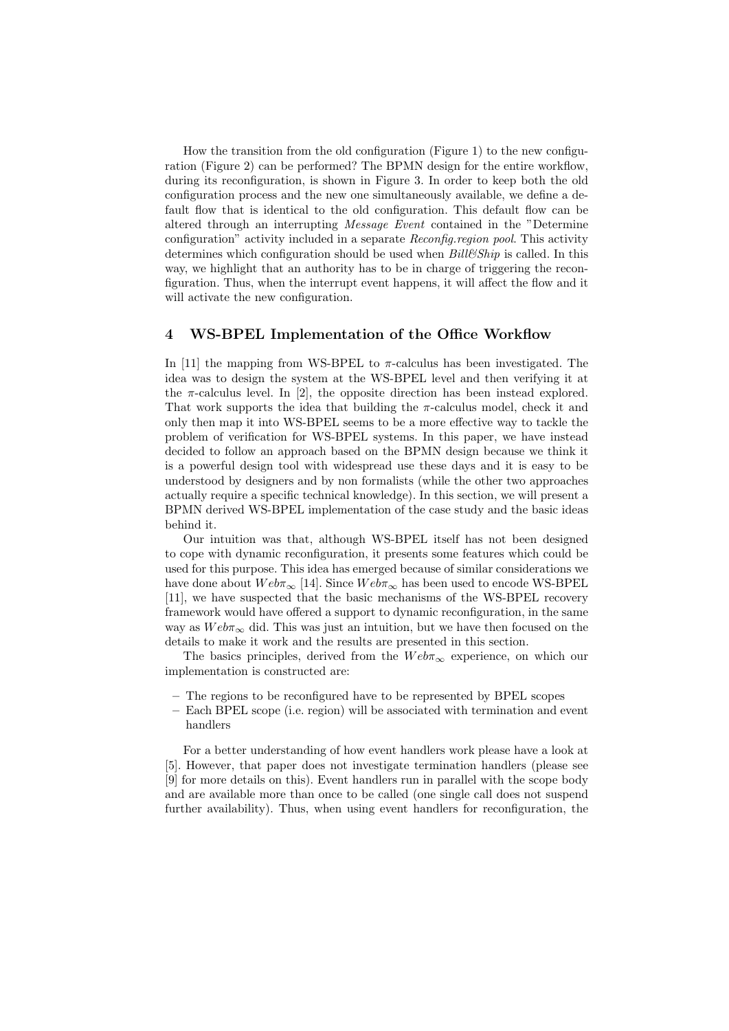How the transition from the old configuration (Figure 1) to the new configuration (Figure 2) can be performed? The BPMN design for the entire workflow, during its reconfiguration, is shown in Figure 3. In order to keep both the old configuration process and the new one simultaneously available, we define a default flow that is identical to the old configuration. This default flow can be altered through an interrupting Message Event contained in the "Determine configuration" activity included in a separate *Reconfig.region pool*. This activity determines which configuration should be used when  $Bill\&Ship$  is called. In this way, we highlight that an authority has to be in charge of triggering the reconfiguration. Thus, when the interrupt event happens, it will affect the flow and it will activate the new configuration.

#### 4 WS-BPEL Implementation of the Office Workflow

In [11] the mapping from WS-BPEL to  $\pi$ -calculus has been investigated. The idea was to design the system at the WS-BPEL level and then verifying it at the  $\pi$ -calculus level. In [2], the opposite direction has been instead explored. That work supports the idea that building the  $\pi$ -calculus model, check it and only then map it into WS-BPEL seems to be a more effective way to tackle the problem of verification for WS-BPEL systems. In this paper, we have instead decided to follow an approach based on the BPMN design because we think it is a powerful design tool with widespread use these days and it is easy to be understood by designers and by non formalists (while the other two approaches actually require a specific technical knowledge). In this section, we will present a BPMN derived WS-BPEL implementation of the case study and the basic ideas behind it.

Our intuition was that, although WS-BPEL itself has not been designed to cope with dynamic reconfiguration, it presents some features which could be used for this purpose. This idea has emerged because of similar considerations we have done about  $Web\pi_{\infty}$  [14]. Since  $Web\pi_{\infty}$  has been used to encode WS-BPEL [11], we have suspected that the basic mechanisms of the WS-BPEL recovery framework would have offered a support to dynamic reconfiguration, in the same way as  $Web\pi_{\infty}$  did. This was just an intuition, but we have then focused on the details to make it work and the results are presented in this section.

The basics principles, derived from the  $Web\pi_{\infty}$  experience, on which our implementation is constructed are:

- The regions to be reconfigured have to be represented by BPEL scopes
- Each BPEL scope (i.e. region) will be associated with termination and event handlers

For a better understanding of how event handlers work please have a look at [5]. However, that paper does not investigate termination handlers (please see [9] for more details on this). Event handlers run in parallel with the scope body and are available more than once to be called (one single call does not suspend further availability). Thus, when using event handlers for reconfiguration, the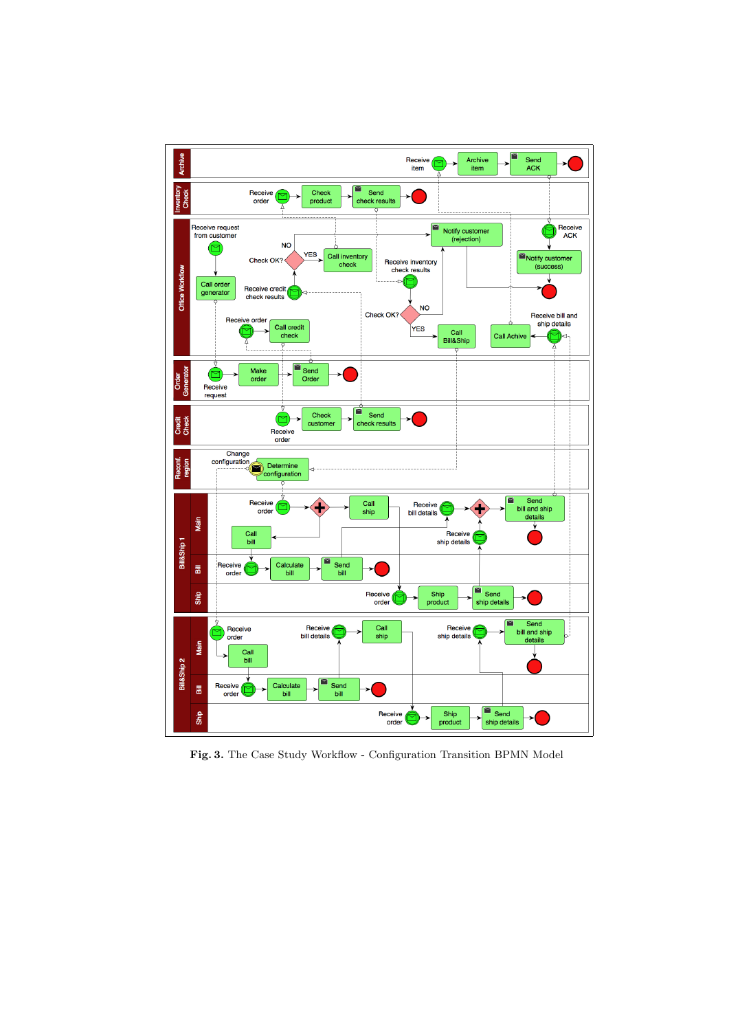

Fig. 3. The Case Study Workflow - Configuration Transition BPMN Model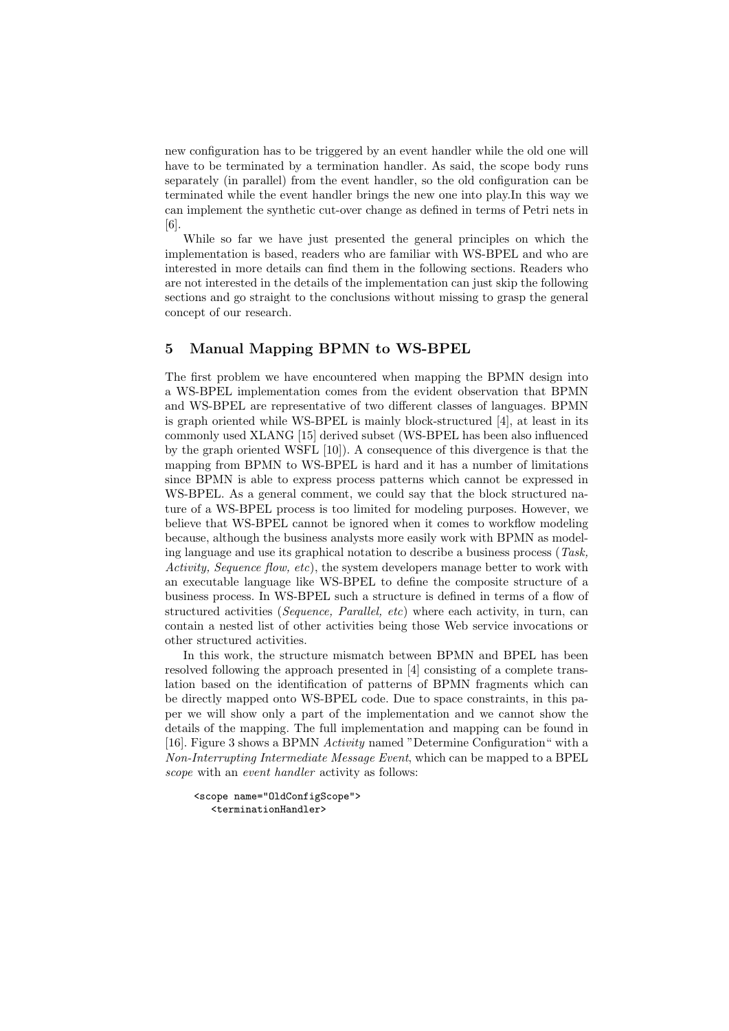new configuration has to be triggered by an event handler while the old one will have to be terminated by a termination handler. As said, the scope body runs separately (in parallel) from the event handler, so the old configuration can be terminated while the event handler brings the new one into play.In this way we can implement the synthetic cut-over change as defined in terms of Petri nets in [6].

While so far we have just presented the general principles on which the implementation is based, readers who are familiar with WS-BPEL and who are interested in more details can find them in the following sections. Readers who are not interested in the details of the implementation can just skip the following sections and go straight to the conclusions without missing to grasp the general concept of our research.

### 5 Manual Mapping BPMN to WS-BPEL

The first problem we have encountered when mapping the BPMN design into a WS-BPEL implementation comes from the evident observation that BPMN and WS-BPEL are representative of two different classes of languages. BPMN is graph oriented while WS-BPEL is mainly block-structured [4], at least in its commonly used XLANG [15] derived subset (WS-BPEL has been also influenced by the graph oriented WSFL [10]). A consequence of this divergence is that the mapping from BPMN to WS-BPEL is hard and it has a number of limitations since BPMN is able to express process patterns which cannot be expressed in WS-BPEL. As a general comment, we could say that the block structured nature of a WS-BPEL process is too limited for modeling purposes. However, we believe that WS-BPEL cannot be ignored when it comes to workflow modeling because, although the business analysts more easily work with BPMN as modeling language and use its graphical notation to describe a business process (Task, Activity, Sequence flow, etc), the system developers manage better to work with an executable language like WS-BPEL to define the composite structure of a business process. In WS-BPEL such a structure is defined in terms of a flow of structured activities (*Sequence, Parallel, etc*) where each activity, in turn, can contain a nested list of other activities being those Web service invocations or other structured activities.

In this work, the structure mismatch between BPMN and BPEL has been resolved following the approach presented in [4] consisting of a complete translation based on the identification of patterns of BPMN fragments which can be directly mapped onto WS-BPEL code. Due to space constraints, in this paper we will show only a part of the implementation and we cannot show the details of the mapping. The full implementation and mapping can be found in [16]. Figure 3 shows a BPMN Activity named "Determine Configuration" with a Non-Interrupting Intermediate Message Event, which can be mapped to a BPEL scope with an event handler activity as follows:

```
<scope name="OldConfigScope">
  <terminationHandler>
```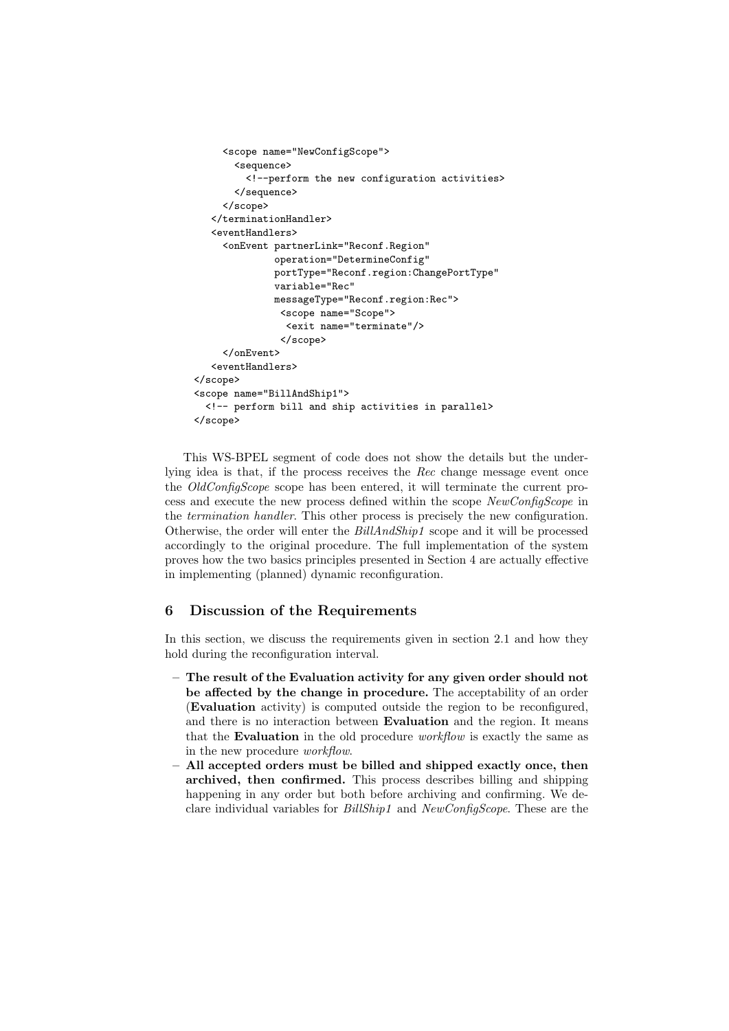```
<scope name="NewConfigScope">
       <sequence>
         <!--perform the new configuration activities>
       </sequence>
     </scope>
  </terminationHandler>
   <eventHandlers>
     <onEvent partnerLink="Reconf.Region"
              operation="DetermineConfig"
              portType="Reconf.region:ChangePortType"
              variable="Rec"
              messageType="Reconf.region:Rec">
               <scope name="Scope">
                <exit name="terminate"/>
               </scope>
     </onEvent>
   <eventHandlers>
</scope>
<scope name="BillAndShip1">
  <!-- perform bill and ship activities in parallel>
</scope>
```
This WS-BPEL segment of code does not show the details but the underlying idea is that, if the process receives the Rec change message event once the *OldConfigScope* scope has been entered, it will terminate the current process and execute the new process defined within the scope NewConfigScope in the termination handler. This other process is precisely the new configuration. Otherwise, the order will enter the BillAndShip1 scope and it will be processed accordingly to the original procedure. The full implementation of the system proves how the two basics principles presented in Section 4 are actually effective in implementing (planned) dynamic reconfiguration.

# 6 Discussion of the Requirements

In this section, we discuss the requirements given in section 2.1 and how they hold during the reconfiguration interval.

- The result of the Evaluation activity for any given order should not be affected by the change in procedure. The acceptability of an order (Evaluation activity) is computed outside the region to be reconfigured, and there is no interaction between Evaluation and the region. It means that the Evaluation in the old procedure workflow is exactly the same as in the new procedure workflow.
- All accepted orders must be billed and shipped exactly once, then archived, then confirmed. This process describes billing and shipping happening in any order but both before archiving and confirming. We declare individual variables for BillShip1 and NewConfigScope. These are the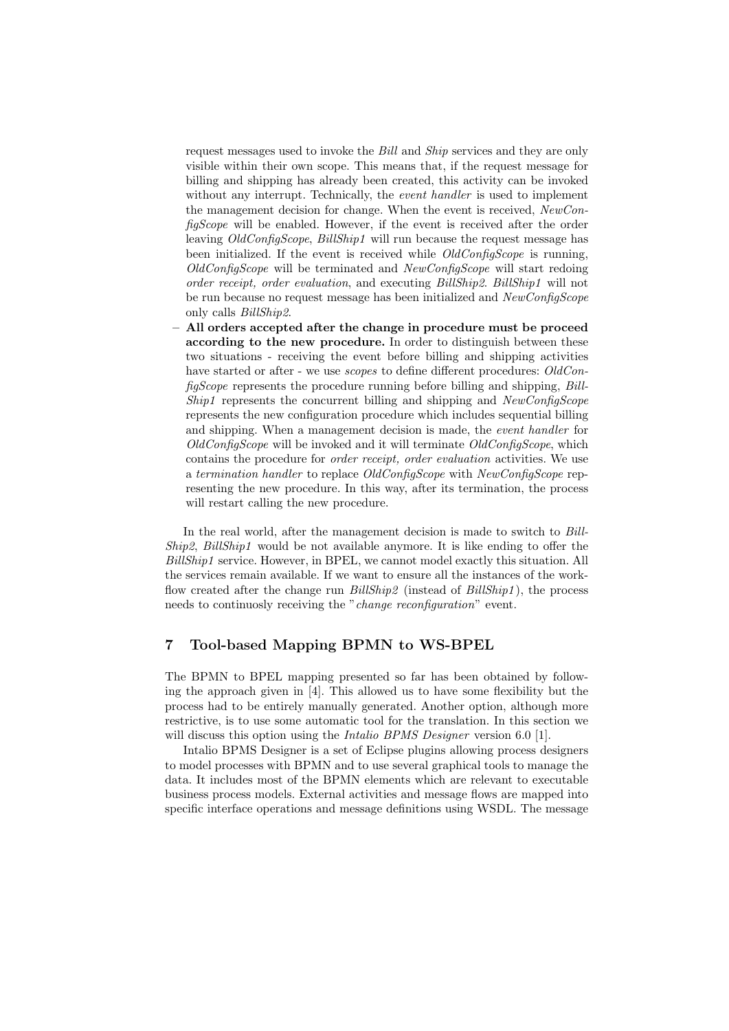request messages used to invoke the Bill and Ship services and they are only visible within their own scope. This means that, if the request message for billing and shipping has already been created, this activity can be invoked without any interrupt. Technically, the *event handler* is used to implement the management decision for change. When the event is received, NewConfigScope will be enabled. However, if the event is received after the order leaving OldConfigScope, BillShip1 will run because the request message has been initialized. If the event is received while  $OldConfigScope$  is running,  $OldConfigScope$  will be terminated and  $NewConfigScope$  will start redoing order receipt, order evaluation, and executing BillShip2. BillShip1 will not be run because no request message has been initialized and NewConfigScope only calls BillShip2.

– All orders accepted after the change in procedure must be proceed according to the new procedure. In order to distinguish between these two situations - receiving the event before billing and shipping activities have started or after - we use *scopes* to define different procedures: OldConfigScope represents the procedure running before billing and shipping, Bill-Ship1 represents the concurrent billing and shipping and NewConfigScope represents the new configuration procedure which includes sequential billing and shipping. When a management decision is made, the event handler for OldConfigScope will be invoked and it will terminate OldConfigScope, which contains the procedure for order receipt, order evaluation activities. We use a termination handler to replace OldConfigScope with NewConfigScope representing the new procedure. In this way, after its termination, the process will restart calling the new procedure.

In the real world, after the management decision is made to switch to Bill-Ship2, BillShip1 would be not available anymore. It is like ending to offer the BillShip1 service. However, in BPEL, we cannot model exactly this situation. All the services remain available. If we want to ensure all the instances of the workflow created after the change run BillShip2 (instead of BillShip1), the process needs to continuosly receiving the "change reconfiguration" event.

# 7 Tool-based Mapping BPMN to WS-BPEL

The BPMN to BPEL mapping presented so far has been obtained by following the approach given in [4]. This allowed us to have some flexibility but the process had to be entirely manually generated. Another option, although more restrictive, is to use some automatic tool for the translation. In this section we will discuss this option using the *Intalio BPMS Designer* version 6.0 [1].

Intalio BPMS Designer is a set of Eclipse plugins allowing process designers to model processes with BPMN and to use several graphical tools to manage the data. It includes most of the BPMN elements which are relevant to executable business process models. External activities and message flows are mapped into specific interface operations and message definitions using WSDL. The message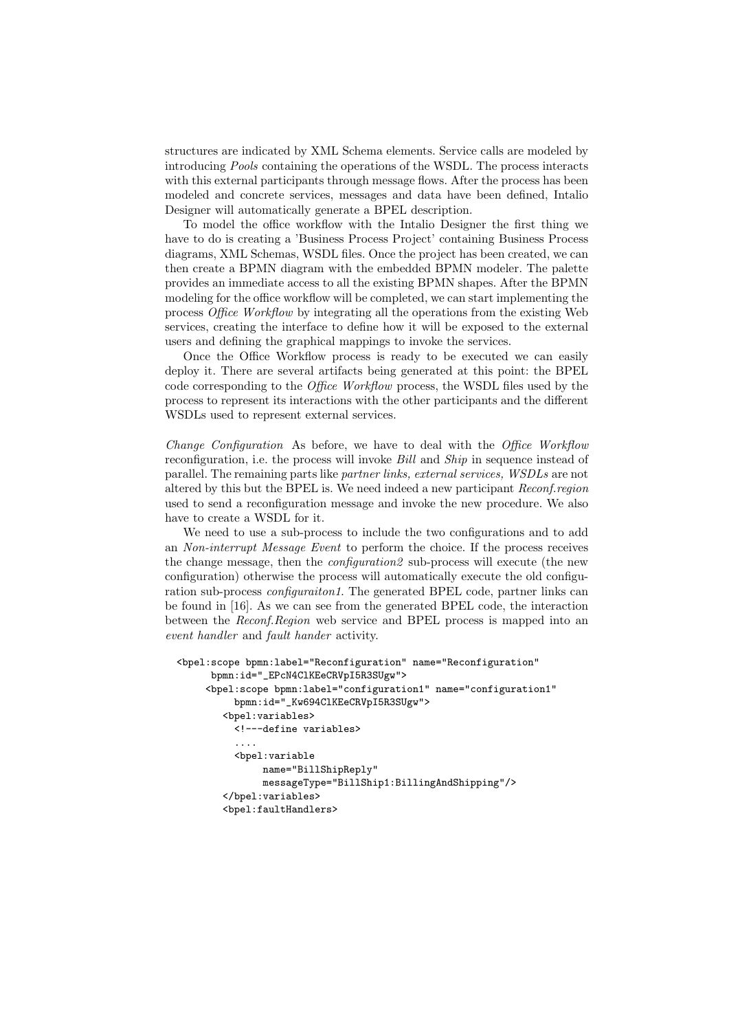structures are indicated by XML Schema elements. Service calls are modeled by introducing Pools containing the operations of the WSDL. The process interacts with this external participants through message flows. After the process has been modeled and concrete services, messages and data have been defined, Intalio Designer will automatically generate a BPEL description.

To model the office workflow with the Intalio Designer the first thing we have to do is creating a 'Business Process Project' containing Business Process diagrams, XML Schemas, WSDL files. Once the project has been created, we can then create a BPMN diagram with the embedded BPMN modeler. The palette provides an immediate access to all the existing BPMN shapes. After the BPMN modeling for the office workflow will be completed, we can start implementing the process Office Workflow by integrating all the operations from the existing Web services, creating the interface to define how it will be exposed to the external users and defining the graphical mappings to invoke the services.

Once the Office Workflow process is ready to be executed we can easily deploy it. There are several artifacts being generated at this point: the BPEL code corresponding to the Office Workflow process, the WSDL files used by the process to represent its interactions with the other participants and the different WSDLs used to represent external services.

Change Configuration As before, we have to deal with the Office Workflow reconfiguration, i.e. the process will invoke *Bill* and *Ship* in sequence instead of parallel. The remaining parts like partner links, external services, WSDLs are not altered by this but the BPEL is. We need indeed a new participant Reconf.region used to send a reconfiguration message and invoke the new procedure. We also have to create a WSDL for it.

We need to use a sub-process to include the two configurations and to add an Non-interrupt Message Event to perform the choice. If the process receives the change message, then the configuration2 sub-process will execute (the new configuration) otherwise the process will automatically execute the old configuration sub-process *configuraiton1*. The generated BPEL code, partner links can be found in [16]. As we can see from the generated BPEL code, the interaction between the Reconf.Region web service and BPEL process is mapped into an event handler and fault hander activity.

```
<bpel:scope bpmn:label="Reconfiguration" name="Reconfiguration"
      bpmn:id="_EPcN4ClKEeCRVpI5R3SUgw">
     <bpel:scope bpmn:label="configuration1" name="configuration1"
         bpmn:id="_Kw694ClKEeCRVpI5R3SUgw">
        <bpel:variables>
          <!---define variables>
          ....
          <bpel:variable
               name="BillShipReply"
               messageType="BillShip1:BillingAndShipping"/>
        </bpel:variables>
        <bpel:faultHandlers>
```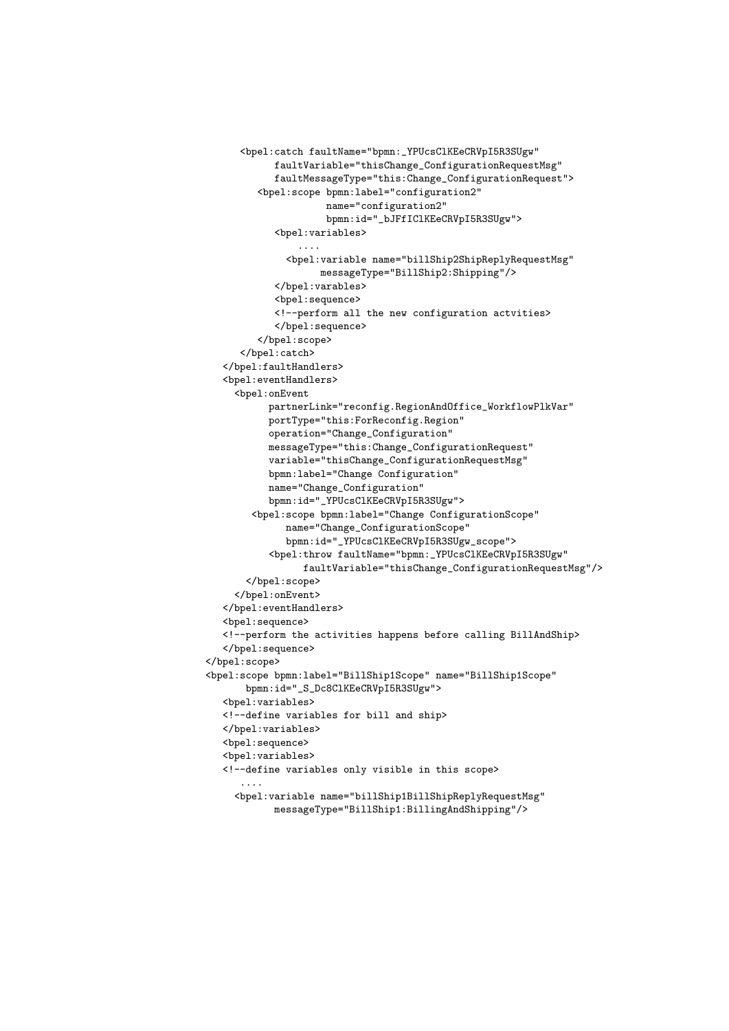```
<bpel:catch faultName="bpmn:_YPUcsClKEeCRVpI5R3SUgw"
            faultVariable="thisChange_ConfigurationRequestMsg"
            faultMessageType="this:Change_ConfigurationRequest">
         <bpel:scope bpmn:label="configuration2"
                     name="configuration2"
                     bpmn:id="_bJFfIClKEeCRVpI5R3SUgw">
            <bpel:variables>
                ....
              <bpel:variable name="billShip2ShipReplyRequestMsg"
                   messageType="BillShip2:Shipping"/>
            </bpel:varables>
            <bpel:sequence>
            <!--perform all the new configuration actvities>
            </bpel:sequence>
         </bpel:scope>
      </bpel:catch>
   </bpel:faultHandlers>
   <bpel:eventHandlers>
     <bpel:onEvent
           partnerLink="reconfig.RegionAndOffice_WorkflowPlkVar"
           portType="this:ForReconfig.Region"
           operation="Change_Configuration"
           messageType="this:Change_ConfigurationRequest"
           variable="thisChange_ConfigurationRequestMsg"
           bpmn:label="Change Configuration"
           name="Change_Configuration"
           bpmn:id="_YPUcsClKEeCRVpI5R3SUgw">
        <bpel:scope bpmn:label="Change ConfigurationScope"
             name="Change_ConfigurationScope"
             bpmn:id="_YPUcsClKEeCRVpI5R3SUgw_scope">
           <bpel:throw faultName="bpmn:_YPUcsClKEeCRVpI5R3SUgw"
                 faultVariable="thisChange_ConfigurationRequestMsg"/>
       </bpel:scope>
     </bpel:onEvent>
   </bpel:eventHandlers>
   <bpel:sequence>
   <!--perform the activities happens before calling BillAndShip>
   </bpel:sequence>
</bpel:scope>
<bpel:scope bpmn:label="BillShip1Scope" name="BillShip1Scope"
      bpmn:id="_S_Dc8ClKEeCRVpI5R3SUgw">
   <bpel:variables>
   <!--define variables for bill and ship>
   </bpel:variables>
   <bpel:sequence>
   <bpel:variables>
   <!--define variables only visible in this scope>
      ....
     <bpel:variable name="billShip1BillShipReplyRequestMsg"
            messageType="BillShip1:BillingAndShipping"/>
```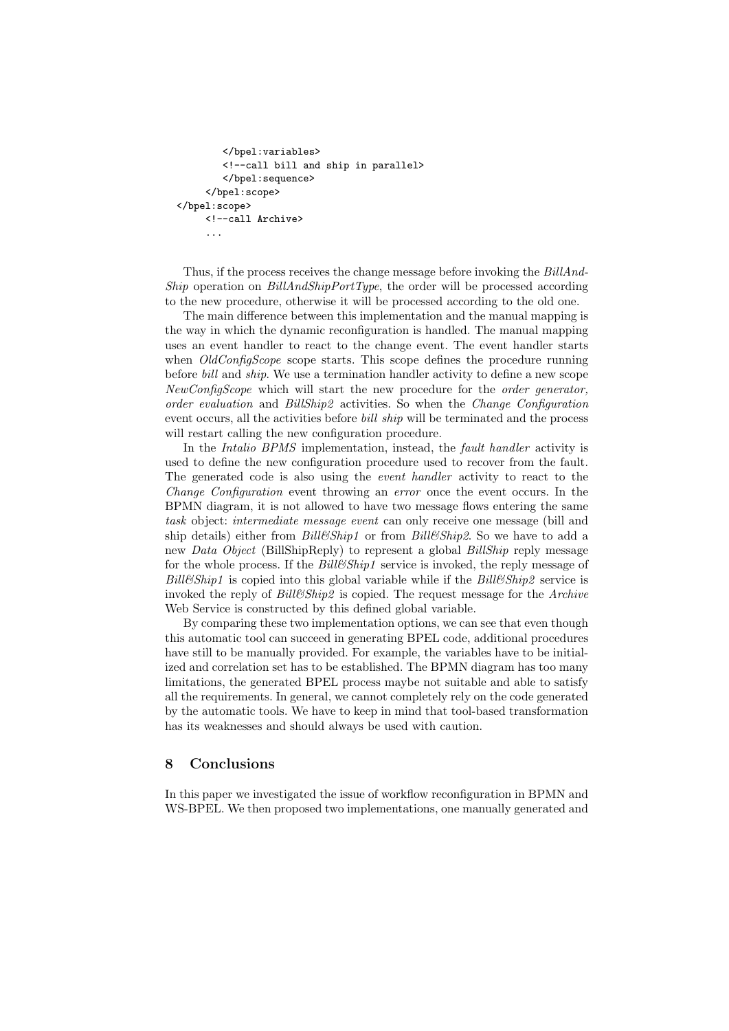```
</bpel:variables>
        <!--call bill and ship in parallel>
        </bpel:sequence>
     </bpel:scope>
</bpel:scope>
     <!--call Archive>
     ...
```
Thus, if the process receives the change message before invoking the BillAnd-Ship operation on BillAndShipPortType, the order will be processed according to the new procedure, otherwise it will be processed according to the old one.

The main difference between this implementation and the manual mapping is the way in which the dynamic reconfiguration is handled. The manual mapping uses an event handler to react to the change event. The event handler starts when *OldConfigScope* scope starts. This scope defines the procedure running before bill and ship. We use a termination handler activity to define a new scope NewConfigScope which will start the new procedure for the order generator, order evaluation and BillShip2 activities. So when the Change Configuration event occurs, all the activities before *bill ship* will be terminated and the process will restart calling the new configuration procedure.

In the *Intalio BPMS* implementation, instead, the *fault handler* activity is used to define the new configuration procedure used to recover from the fault. The generated code is also using the *event handler* activity to react to the Change Configuration event throwing an error once the event occurs. In the BPMN diagram, it is not allowed to have two message flows entering the same task object: intermediate message event can only receive one message (bill and ship details) either from  $Bill\mathscr{C}Ship1$  or from  $Bill\mathscr{C}Ship2$ . So we have to add a new Data Object (BillShipReply) to represent a global BillShip reply message for the whole process. If the Bill&Ship1 service is invoked, the reply message of  $Bill\mathscr{C}Ship1$  is copied into this global variable while if the  $Bill\mathscr{C}Ship2$  service is invoked the reply of Bill&Ship2 is copied. The request message for the Archive Web Service is constructed by this defined global variable.

By comparing these two implementation options, we can see that even though this automatic tool can succeed in generating BPEL code, additional procedures have still to be manually provided. For example, the variables have to be initialized and correlation set has to be established. The BPMN diagram has too many limitations, the generated BPEL process maybe not suitable and able to satisfy all the requirements. In general, we cannot completely rely on the code generated by the automatic tools. We have to keep in mind that tool-based transformation has its weaknesses and should always be used with caution.

# 8 Conclusions

In this paper we investigated the issue of workflow reconfiguration in BPMN and WS-BPEL. We then proposed two implementations, one manually generated and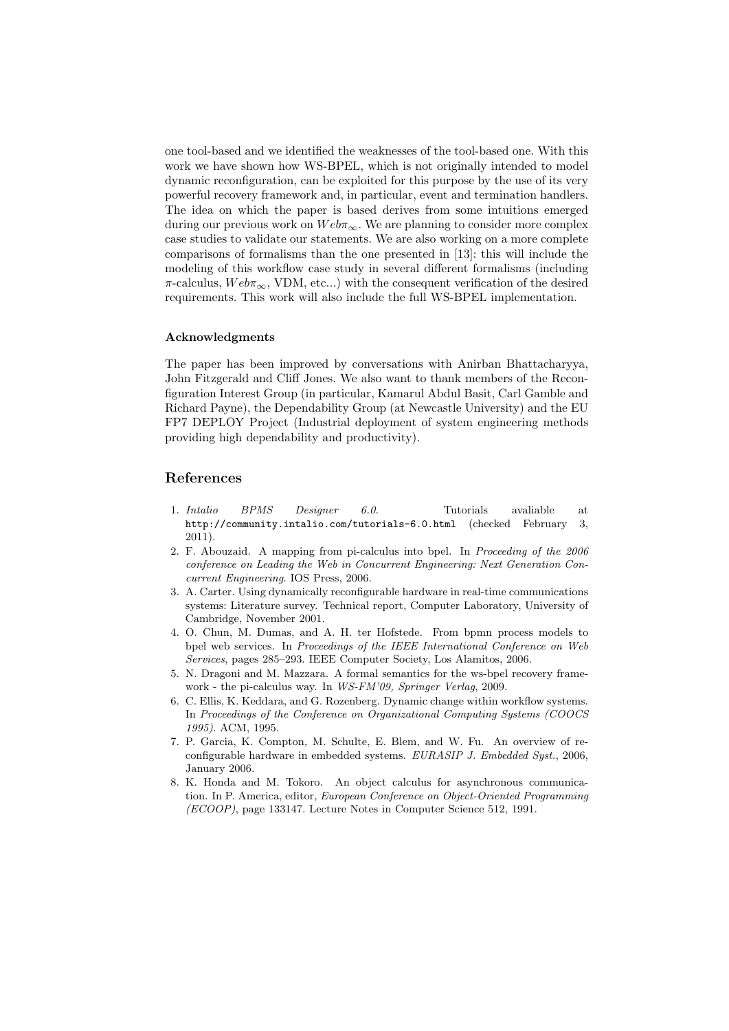one tool-based and we identified the weaknesses of the tool-based one. With this work we have shown how WS-BPEL, which is not originally intended to model dynamic reconfiguration, can be exploited for this purpose by the use of its very powerful recovery framework and, in particular, event and termination handlers. The idea on which the paper is based derives from some intuitions emerged during our previous work on  $Web\pi_{\infty}$ . We are planning to consider more complex case studies to validate our statements. We are also working on a more complete comparisons of formalisms than the one presented in [13]: this will include the modeling of this workflow case study in several different formalisms (including  $\pi$ -calculus,  $Web\pi_{\infty}$ , VDM, etc...) with the consequent verification of the desired requirements. This work will also include the full WS-BPEL implementation.

#### Acknowledgments

The paper has been improved by conversations with Anirban Bhattacharyya, John Fitzgerald and Cliff Jones. We also want to thank members of the Reconfiguration Interest Group (in particular, Kamarul Abdul Basit, Carl Gamble and Richard Payne), the Dependability Group (at Newcastle University) and the EU FP7 DEPLOY Project (Industrial deployment of system engineering methods providing high dependability and productivity).

# References

- 1. Intalio BPMS Designer 6.0. Tutorials avaliable at http://community.intalio.com/tutorials-6.0.html (checked February 3, 2011).
- 2. F. Abouzaid. A mapping from pi-calculus into bpel. In Proceeding of the 2006 conference on Leading the Web in Concurrent Engineering: Next Generation Concurrent Engineering. IOS Press, 2006.
- 3. A. Carter. Using dynamically reconfigurable hardware in real-time communications systems: Literature survey. Technical report, Computer Laboratory, University of Cambridge, November 2001.
- 4. O. Chun, M. Dumas, and A. H. ter Hofstede. From bpmn process models to bpel web services. In Proceedings of the IEEE International Conference on Web Services, pages 285–293. IEEE Computer Society, Los Alamitos, 2006.
- 5. N. Dragoni and M. Mazzara. A formal semantics for the ws-bpel recovery framework - the pi-calculus way. In WS-FM'09, Springer Verlag, 2009.
- 6. C. Ellis, K. Keddara, and G. Rozenberg. Dynamic change within workflow systems. In Proceedings of the Conference on Organizational Computing Systems (COOCS 1995). ACM, 1995.
- 7. P. Garcia, K. Compton, M. Schulte, E. Blem, and W. Fu. An overview of reconfigurable hardware in embedded systems. EURASIP J. Embedded Syst., 2006, January 2006.
- 8. K. Honda and M. Tokoro. An object calculus for asynchronous communication. In P. America, editor, European Conference on Object-Oriented Programming (ECOOP), page 133147. Lecture Notes in Computer Science 512, 1991.